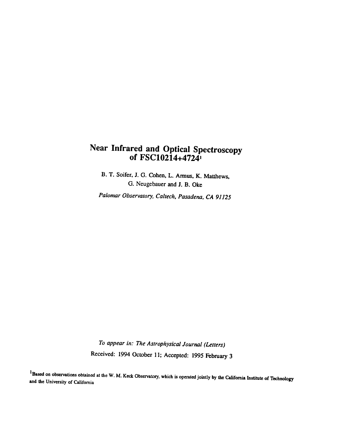## **Near Infrared and Optical Spectroscopy of FSC10214+4724** \_

**B.** T. Soifer, J. G. Cohen, **L.** Armus, K. Matthews, G. Neugebauer and J. B. **Oke**

*Palomar Observatory, Caltech, Pasadena, CA 91125*

*To appear in: The Astrophysical Journal (Letters)* Received: **1994** October 11; Accepted: 1995 February 3

**IBasedon observationsobtainedatthe**W. **M.**Keck **Observatory,whichis operatedjointlyby theCalifornia**Institute **of Technology** and the University of California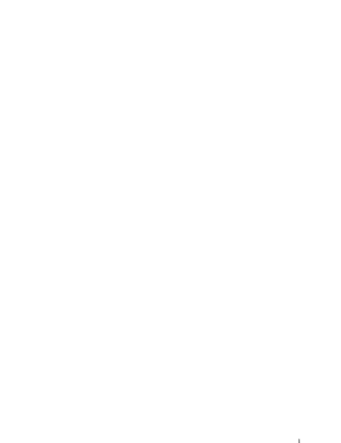$\parallel$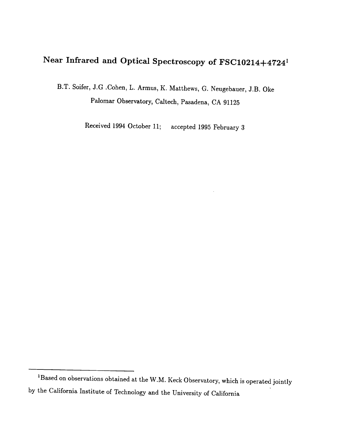# Near **Infrared** and Optical **Spectroscopy of FSC10214+47241**

B.T. Soifer, **J.G** .Cohen, L. Armus, K. Matthews, G. **Neugebauer,** J.B. Oke Palomar Observatory, **Caltech,** Pasadena, **CA** 91125

Received 1994 October 11; accepted 1995 February 3

<sup>&</sup>lt;sup>1</sup>Based on observations obtained at the W.M. Keck Observatory, which is operated jointly by the California Institute of Technology and the University of California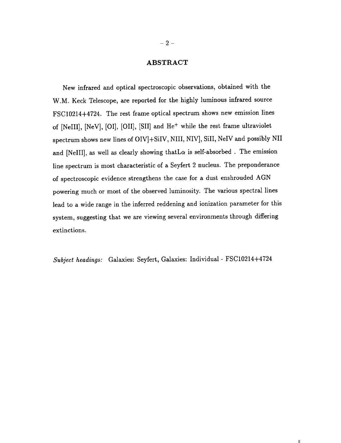### ABSTRACT

New infrared and optical spectroscopic observations, obtained with the W.M. Keck Telescope, are reported for the highly luminous infrared source FSC10214+4724. The rest frame optical spectrum shows new emission lines of [NeIII], [NeV], [OI], [OII], [SII] and He<sup>+</sup> while the rest frame ultraviolet spectrum shows new lines of OIV]+SiIV, NIII, NIV], SiII, NeIV and possibly NII and [NeIII], as well as clearly showing that L $\alpha$  is self-absorbed. The emission line spectrum is most characteristicof a Seyfert 2 nucleus. The preponderance of spectroscopic evidence strengthens the case for a dust enshrouded AGN powering much or most of the observed luminosity. The various spectral lines lead to a wide range in the inferred reddening and ionization parameter for this system, suggesting that we are viewing several environments through differing extinctions.

*Subject headings:* Galaxies: Seyfert, Galaxies: Individual - FSC10214+4724

Ħ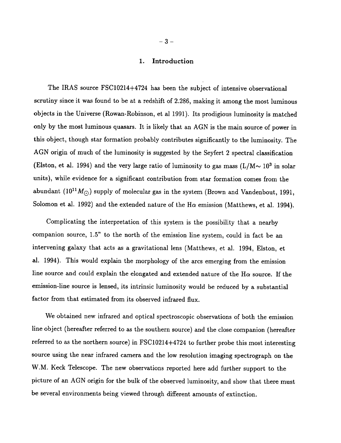#### **1.** Introduction

The IRAS source FSC10214+4724 has been the subject of intensive observational scrutiny since it was found to be at a redshift of 2.286, making it among the most luminous objects in the Universe (Rowan-Robinson, et al 1991). Its prodigious luminosity is matched only by the most luminous quasars. It is likely that an AGN is the main source of power in this object, though star formation probably contributes significantly to the luminosity. The AGN origin of much of the luminosity is suggested by the Seyfert 2 spectral classification (Elston, et al. 1994) and the very large ratio of luminosity to gas mass  $(L/M \sim 10^3$  in solar units), while evidence for a significant contribution from star formation comes from the abundant  $(10^{11}M_{\odot})$  supply of molecular gas in the system (Brown and Vandenbout, 1991, Solomon et al. 1992) and the extended nature of the H $\alpha$  emission (Matthews, et al. 1994).

Complicating the interpretation **of** this system is the possibility that a nearby companion source, 1.5" to the north of the emission line system, could in fact be an intervening galaxy that acts as a gravitational lens (Matthews, et al. 1994, Elston, et al. 1994). This would explain the morphology of the arcs emerging from the emission line source and could explain the elongated and extended nature of the H $\alpha$  source. If the emission-line source is lensed, its intrinsic luminosity would be reduced by a substantial factor from that estimated from its observed infrared flux.

We obtained new infrared and optical spectroscopic observations of both the emission line object (hereafter referred to as the southern source) and the close companion (hereafter referred to as the northern source) in FSC10214+4724 to further probe this most interesting source using the near infrared camera and the low resolution imaging spectrograph on the W.M. Keck Telescope. The new observations reported here add further support to the picture of an AGN origin for the bulk of the observed luminosity, and show that there must be several environments being viewed through different amounts of extinction.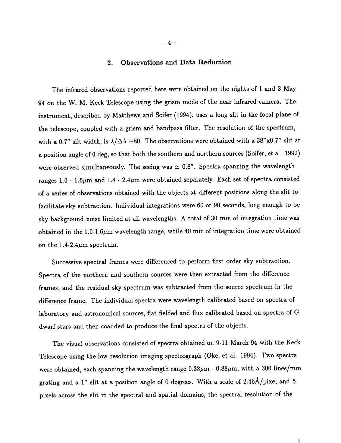#### **2. Observations and Data Reduction**

The infrared observations reported here **were obtained on the** nights **of 1** and **3** May 94 **on the** W. M. Keck Telescope using the grism mode **of the** near infrared camera. The instrument, described by Matthews and Soifer (1994), uses a long slit in **the** focal plane **of the telescope,** coupled with a grism and bandpass filter. The **resolution of the** spectrum, with a 0.7" slit width, is  $\lambda/\Delta\lambda \sim 80$ . The observations were obtained with a 38"x0.7" slit at a position angle of 0 deg, so that both the southern and northern sources (Soifer, et al. 1992) were observed simultaneously. The seeing was  $\simeq 0.8$ ". Spectra spanning the wavelength ranges 1.0 - 1.6 $\mu$ m and 1.4 - 2.4 $\mu$ m were obtained separately. Each set of spectra consisted of a series of observations obtained with the objects at different positions along the slit to facilitate sky subtraction. Individual integrations were 60 or 90 seconds, long enough to be sky background noise limited at all wavelengths. A total of 30 min of integration time was obtained in the 1.0-1.6 $\mu$ m wavelength range, while 40 min of integration time were obtained on the  $1.4$ -2.4 $\mu$ m spectrum.

Successive spectral frames were differenced to perform first order sky subtraction. Spectra of the northern and southern sources were then extracted from the difference frames, and the residual sky spectrum was subtracted from the source spectrum in the difference frame. The individual spectra were wavelength calibrated based on spectra of laboratory and astronomical sources, flat fielded and flux calibrated based on spectra of **G** dwarf stars and then coadded to produce the final spectra of the objects.

The visual observations consisted of spectra obtained on 9-11 March 94 with the Keck Telescope using the low resolution imaging spectrograph (Oke, et al. 1994). Two spectra were obtained, each spanning the wavelength range  $0.38\mu$ m -  $0.88\mu$ m, with a 300 lines/mm grating and a 1" slit at a position angle of 0 degrees. With a scale of  $2.46\text{\AA}/\text{pixel}$  and 5 pixels across the slit in the spectral and spatial domains, the spectral resolution of the

II.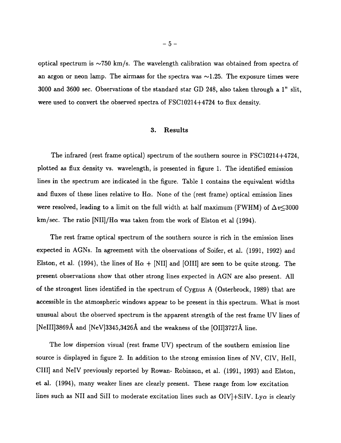optical spectrum is  $\sim$ 750 km/s. The wavelength calibration was obtained from spectra of an argon or neon lamp. The airmass for the spectra was  $\sim$ 1.25. The exposure times were 3000 and 3600 sec. Observations of the standard star GD 248, also taken through a 1" slit, were used to convert the observed spectra of FSC10214+4724 to flux density.

#### **3. Results**

The infrared (rest frame optical) spectrum of the southern source in FSC10214+4724, plotted as flux density vs. wavelength, is presented in figure 1. The identified emission lines in the spectrum are indicated in the figure. Table 1 contains the equivalent widths and fluxes of these lines relative to  $H\alpha$ . None of the (rest frame) optical emission lines were resolved, leading to a limit on the full width at half maximum (FWHM) of  $\Delta v \leq 3000$ km/sec. The ratio  $[NII]/H\alpha$  was taken from the work of Elston et al (1994).

The rest frame optical spectrum of the southern source is rich in the emission lines expected in AGNs. In agreement with the observations of Soifer, et al. (1991, 1992) and Elston, et al. (1994), the lines of  $H\alpha +$ [NII] and [OIII] are seen to be quite strong. The present observations show that other strong lines expected in AGN are also present. All of the strongest lines identified in the spectrum of Cygnus A (Osterbrock, 1989) that are accessible in the atmospheric windows appear to be present in this spectrum. What is most unusual about the observed spectrum is the apparent strength of the rest frame UV lines of [NeIII]3869Å and [NeV]3345,3426Å and the weakness of the [OII]3727Å line.

The low dispersion visual (rest frame UV) spectrum of the southern emission line source is displayed in figure 2. In addition to the strong emission lines of NV, CIV, HeII, CIII] and NeIV previously reported by Rowan- Robinson, et al. (1991, 1993) and Elston, et al. (1994), many weaker lines are clearly present. These range from low excitation lines such as NII and SiII to moderate excitation lines such as OIV]+SiIV. Ly $\alpha$  is clearly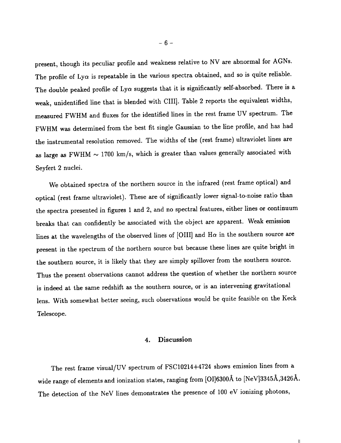present, though its peculiar profile and weakness relative to NV are abnormal for AGNs. The profile of Ly $\alpha$  is repeatable in the various spectra obtained, and so is quite reliable. The double peaked profile of Ly $\alpha$  suggests that it is significantly self-absorbed. There is a weak, unidentified line that is blended with CIII]. Table 2 reports the equivalent widths, measured FWHM and fluxes for the identified lines in the rest frame UV spectrum. The FWHM was determined from the best fit single Gaussian to the line profile, and has had the instrumental resolution removed. The widths of the (rest frame) ultraviolet lines are as large as FWHM  $\sim$  1700 km/s, which is greater than values generally associated with Seyfert 2 nuclei.

**optical** (rest frame ultraviolet). These are **of** significantly lower signal-to-noise **ratio** than

We obtained spectra of the northern source in the infrared (rest frame optical) and optical (rest frame ultraviolet). These are of significantly lower signal-to-noise ratio than the spectra presented in figures 1 and 2, and no spectral features, either lines or continuum breaks that can confidently be associated with the object are apparent. Weak emission lines at the wavelengths of the observed lines of [OIII] and  $H\alpha$  in the southern source are present in the spectrum of the northern source but because these lines are quite bright in the southern source, it is likely that they are simply spillover from the southern source. Thus the present observations cannot address the question of whether the northern source is indeed at the same redshift as the southern source, or is an intervening gravitational lens. With somewhat better seeing, such observations would be quite feasible on the Keck Telescope.

## The **rest** frame visual/UV **spectrum** of **FSC10214+4724 shows** emission lines from a

The rest frame visual/UV spectrum of FSC10214+4724 shows emission lines from a wide range of elements and ionization states, ranging from [OI]6300Å to [NeV]3345Å,3426Å. The detection of the NeV lines demonstrates the presence of 100 eV ionizing photons,

 $\mathbf{I}$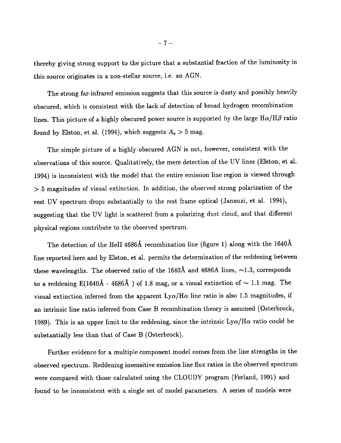thereby giving strong support to the picture that a substantial fraction of the luminosity in this source originates in a non-stellar source, i.e. an AGN.

The strong far-infrared emission suggests that this source is dusty and possibly heavily obscured, which is consistent with the lack of detection of broad hydrogen recombination lines. This picture of a highly obscured power source is supported by the large  $H\alpha/H\beta$  ratio found by Elston, et al. (1994), which suggests  $A_v > 5$  mag.

The simple picture of a highly obscured AGN is not, however, consistent with the observations of this source. Qualitatively, the mere detection of the UV lines (Elston, et al. 1994) is inconsistent with the model that the entire emission line region is viewed through > 5 magnitudes of visual extinction. In addition, the observed strong polarization of the rest UV spectrum drops substantially to the rest frame optical (Jannuzi, et al. 1994), suggesting that the UV light is scattered from a polarizing dust cloud, and that different physical regions contribute to the observed spectrum.

The detection of the HeII 4686Å recombination line (figure 1) along with the 1640Å line reported here and by Elston, et al. permits the determination of the reddening between these wavelengths. The observed ratio of the 1640Å and 4686A lines,  $\sim$ 1.3, corresponds to a reddening E(1640Å - 4686Å) of 1.8 mag, or a visual extinction of  $\sim 1.1$  mag. The visual extinction inferred from the apparent  $Ly\alpha/Ha$  line ratio is also 1.5 magnitudes, if an intrinsic line ratio inferred from Case B recombination theory is assumed (Osterbrock, 1989). This is an upper limit to the reddening, since the intrinsic  $Ly\alpha/H\alpha$  ratio could be substantially less than that of Case B (Osterbrock).

Further evidence for a multiple component model comes from the line strengths in the observed spectrum. Reddening insensitive emission line flux ratios in the observed spectrum were compared with those calculated using the CLOUDY program (Ferland, 1991) and found to be inconsistent with a single set of model parameters. A series of models were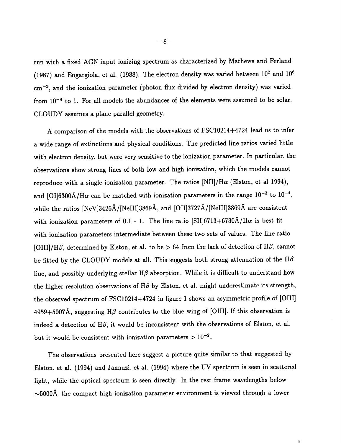run with a fixed AGN input ionizing spectrum as characterized by Mathews and Ferland (1987) and Engargiola, et al. (1988). The electron density was varied between  $10^2$  and  $10^6$  $cm^{-3}$ , and the ionization parameter (photon flux divided by electron density) was varied from  $10^{-4}$  to 1. For all models the abundances of the elements were assumed to be solar. CLOUDY assumes a plane parallel geometry.

A comparison of the models with the observations of FSC10214+4724 lead us to infer a wide range of extinctions and physical conditions. The predicted line ratios varied little with electron density, but were very sensitive to the ionization parameter. In particular, the observations show strong lines of both low and high ionization, which the models cannot reproduce with a single ionization parameter. The ratios  $[NII]/H\alpha$  (Elston, et al 1994), and [OI]6300Å/H $\alpha$  can be matched with ionization parameters in the range 10<sup>-3</sup> to 10<sup>-4</sup>, while the ratios [NeV]3426Å/[NeIII]3869Å, and [OII]3727Å/[NeIII]3869Å are consistent with ionization parameters of 0.1 - 1. The line ratio [SII]6713+6730Å/H $\alpha$  is best fit with ionization parameters intermediate between these two sets of values. The line ratio [OIII]/H $\beta$ , determined by Elston, et al. to be > 64 from the lack of detection of H $\beta$ , cannot be fitted by the CLOUDY models at all. This suggests both strong attenuation of the  $H\beta$ line, and possibly underlying stellar  $H\beta$  absorption. While it is difficult to understand how the higher resolution observations of H $\beta$  by Elston, et al. might underestimate its strength, the observed spectrum of FSC10214+4724 in figure 1 shows an asymmetric profile of [OIII] 4959+5007Å, suggesting H $\beta$  contributes to the blue wing of [OIII]. If this observation is indeed a detection of  $H\beta$ , it would be inconsistent with the observations of Elston, et al. but it would be consistent with ionization parameters  $> 10^{-2}$ .

The observations presented here suggest a picture quite similar to that suggested by Elston, et al. (1994) and Jannuzi, et al. (1994) where the UV spectrum is seen in scattered light, while the optical spectrum is seen directly. In the rest frame wavelengths below  $\sim$ 5000Å the compact high ionization parameter environment is viewed through a lower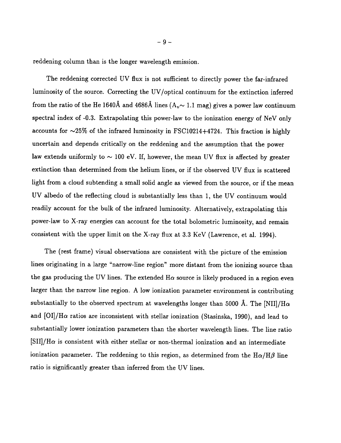reddening column than is the longer wavelength emission.

The reddening corrected UV flux is not sufficient to directly power the far-infrared luminosity of the source. Correcting the UV/optical continuum for the extinction inferred from the ratio of the He 1640Å and 4686Å lines (A<sub>v</sub> $\sim$  1.1 mag) gives a power law continuum spectral index of -0.3. Extrapolating this power-lawto the ionization energyof NeV only accounts for  $\sim$ 25% of the infrared luminosity in FSC10214+4724. This fraction is highly uncertain and depends critically on the reddening and the assumption that the power law extends uniformly to  $\sim 100$  eV. If, however, the mean UV flux is affected by greater extinction than determined from the helium lines, or if the observed UV flux is scattered light from a cloud subtending a small solid angle as viewed from the source, or if the mean UV albedo of the reflecting cloud is substantially less than 1, the UV continuum would readily account for the bulk of the infrared luminosity. Alternatively, extrapolating this power-law to X-ray energies can account for the total bolometric luminosity, and remain consistent with the upper limit on the X-ray flux at 3.3 KeV (Lawrence, et al. 1994).

The (rest frame) visual observations are consistent with the picture of the emission lines originating in a large "narrow-line region" more distant from the ionizing source than the gas producing the UV lines. The extended H $\alpha$  source is likely produced in a region even larger than the narrow line region. A low ionization parameter environment is contributing substantially to the observed spectrum at wavelengths longer than 5000 Å. The [NII]/H $\alpha$ and  $[OII/H\alpha$  ratios are inconsistent with stellar ionization (Stasinska, 1990), and lead to substantially lower ionization parameters than the shorter wavelength lines. The line ratio  $[SII]/H\alpha$  is consistent with either stellar or non-thermal ionization and an intermediate ionization parameter. The reddening to this region, as determined from the  $H\alpha/H\beta$  line ratio is significantly greater than inferred from the UV lines.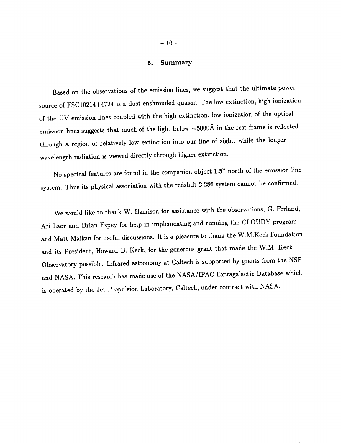#### Summary 5.

 $-10 -$ 

Dased on the UV emission of the second lines of the optical second the optical of the optical second of the optical second of the optical second of the optical second of the optical second of the optical second of the opti source of FSC10214+4724 is a dust enshrouded quasar. The low extinction, high ionization of the UV emission lines coupled with the high extinction, low ionization of the optical emission lines suggests that much of the light below  $\sim$ 5000Å in the rest frame is reflected through a region of relatively low extinction into our line of sight, while the longer wavelength radiation is viewed directly through higher extinction.

No spectral features are found in the companion object 1.5" north of the emission line system. Thus its physical association with the redshift 2.286 system cannot be confirmed.

and Matter Matter Matters. It is a pleasure to the W.M.Keck Foundation of W.M.Keck Foundation of W.M. Ari Laor and Brian Espey for help in implementing and running the CLOUDY program and Matt Malkan for useful discussions. It is a pleasure to thank the W.M.Keck Foundation and its President, Howard B. Keck, for the generous grant that made the W.M. Keck Observatory possible. Infrared astronomy at Caltech is supported by grants from the NSF and NASA. This research has made use of the NASA/IPAC Extragalactic Database which is operated by the Jet Propulsion Laboratory, Caltech, under contract with NASA.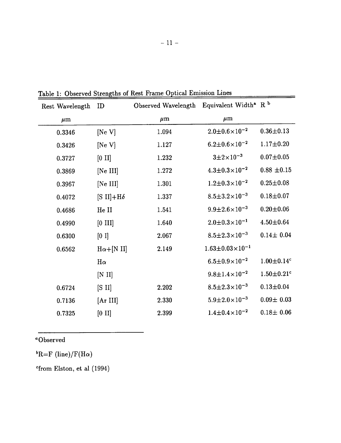| Rest Wavelength | ID                 | Equivalent Width <sup>a</sup> R <sup>b</sup><br>Observed Wavelength |                                |                   |
|-----------------|--------------------|---------------------------------------------------------------------|--------------------------------|-------------------|
| $\mu$ m         |                    | $\mu$ m<br>$\mu$ m                                                  |                                |                   |
| 0.3346          | [Ne V]             | 1.094                                                               | $2.0 \pm 0.6 \times 10^{-2}$   | $0.36 \pm 0.13$   |
| 0.3426          | [Ne V]             | 1.127                                                               | $6.2 \pm 0.6 \times 10^{-2}$   | $1.17 \pm 0.20$   |
| 0.3727          | [0 II]             | 1.232                                                               | $3\pm 2\times 10^{-3}$         | $0.07 + 0.05$     |
| 0.3869          | [ $Ne III$ ]       | 1.272                                                               | $4.3 \pm 0.3 \times 10^{-2}$   | $0.88 \pm 0.15$   |
| 0.3967          | [Ne III]           | 1.301                                                               | $1.2 \pm 0.3 \times 10^{-2}$   | $0.25 \pm 0.08$   |
| 0.4072          | $[S II]+H\delta$   | 1.337                                                               | $8.5 \pm 3.2 \times 10^{-3}$   | $0.18 + 0.07$     |
| 0.4686          | He II              | 1.541                                                               | $9.9 \pm 2.6 \times 10^{-3}$   | $0.20 \pm 0.06$   |
| 0.4990          | $[0 \text{ III}]$  | 1.640                                                               | $2.0 \pm 0.3 \times 10^{-1}$   | $4.50 \pm 0.64$   |
| 0.6300          | [0 1]              | 2.067                                                               | $8.5 \pm 2.3 \times 10^{-3}$   | $0.14 \pm 0.04$   |
| 0.6562          | $H\alpha + [N II]$ | 2.149                                                               | $1.63 \pm 0.03 \times 10^{-1}$ |                   |
|                 | $H\alpha$          |                                                                     | $6.5 \pm 0.9 \times 10^{-2}$   | $1.00 \pm 0.14$ c |
|                 | [N II]             |                                                                     | $9.8 \pm 1.4 \times 10^{-2}$   | $1.50 \pm 0.21$ c |
| 0.6724          | [S II]             | 2.202                                                               | $8.5 \pm 2.3 \times 10^{-3}$   | $0.13 \pm 0.04$   |
| 0.7136          | [Ar III]           | 2.330                                                               | $5.9 \pm 2.0 \times 10^{-3}$   | $0.09 \pm 0.03$   |
| 0.7325          | [0 II]             | 2.399                                                               | $1.4 \pm 0.4 \times 10^{-2}$   | $0.18 \pm 0.06$   |
|                 |                    |                                                                     |                                |                   |

Table 1: Observed Strengths of Rest Frame Optical **Emission** Lines

"Observed

 ${}^{b}R=F$  (line)/F(H $\alpha$ )

 $^{\circ}$ from Elston, et al (1994)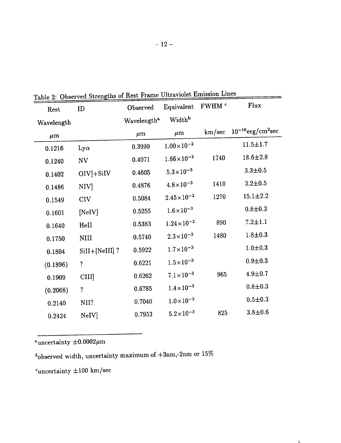| Rest       | ID                 | Observed                | Equivalent             | FWHM <sup>c</sup> | Flux                               |
|------------|--------------------|-------------------------|------------------------|-------------------|------------------------------------|
| Wavelength |                    | Wavelength <sup>a</sup> | Widthb                 |                   |                                    |
| $\mu$ m    |                    | $\mu$ m                 | $\mu$ m                | km/sec            | $10^{-16}$ erg/cm <sup>2</sup> sec |
| 0.1216     | $Ly\alpha$         | 0.3990                  | $1.00\times10^{-2}$    |                   | $11.5 \pm 1.7$                     |
| 0.1240     | NV                 | 0.4071                  | $1.66 \times 10^{-2}$  | 1740              | $18.6 \pm 2.8$                     |
| 0.1402     | OIV]+SiIV          | 0.4605                  | $5.3 \times 10^{-3}$   |                   | $3.3 + 0.5$                        |
| 0.1486     | NIV]               | 0.4876                  | $4.8 \times 10^{-3}$   | 1410              | $3.2 + 0.5$                        |
| 0.1549     | <b>CIV</b>         | 0.5084                  | $2.45\times10^{-2}$    | 1270              | $15.1 \pm 2.2$                     |
| 0.1601     | [NeIV]             | 0.5255                  | $1.6 \times 10^{-3}$   |                   | $0.8 + 0.3$                        |
| 0.1640     | Hell               | 0.5383                  | $1.24 \times 10^{-2}$  | 890               | $7.2 + 1.1$                        |
| 0.1750     | <b>NIII</b>        | 0.5740                  | $2.3 \times 10^{-3}$   | 1480              | $1.8 + 0.3$                        |
| 0.1804     | $SiII + [NeIII]$ ? | 0.5922                  | $1.7{\times}10^{-3}$   |                   | $1.0 + 0.3$                        |
| (0.1896)   | $\ddot{?}$         | 0.6221                  | $1.5 \times 10^{-3}$   |                   | $0.9 + 0.3$                        |
| 0.1909     | CIII]              | 0.6262                  | $7.1\!\times\!10^{-3}$ | 965               | $4.9 + 0.7$                        |
| (0.2068)   | $\ddot{?}$         | 0.6785                  | $1.4 \times 10^{-3}$   |                   | $0.8 + 0.3$                        |
| 0.2140     | NII?               | 0.7040                  | $1.0\times10^{-3}$     |                   | $0.5 + 0.3$                        |
| 0.2424     | NeIV               | 0.7953                  | $5.2 \times 10^{-3}$   | 825               | $3.8 + 0.6$                        |
|            |                    |                         |                        |                   |                                    |

 $\mathbf{H}^{\pm}$ 

Table 2: Observed Strengths of Rest Frame Ultraviolet Emission Lines

<sup>a</sup>uncertainty  $\pm 0.0002 \mu$ m<br><sup>b</sup>observed width, uncertainty maximum of  $+3$ nm,-2nm or 15%

bobserved width, uncertainty maximum of **+3nm,-2nm** or 15%

 $c$ uncertainty  $\pm 100$  km/sec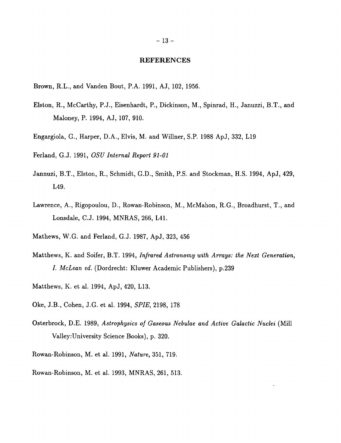#### **REFERENCES**

- Brown, R.L., and Vanden Bout, P.A. 1991, **A** J, 102, 1956.
- Elston, R., McCarthy, **P.J.,** Eisenhardt, P., Dickinson, M., Spinrad, H., Januzzi, B.T., and Maloney, P. 1994, AJ, 107, 910.
- Engargiola, G., Harper, D.A., Elvis, M. and Willner, S.P. 1988 ApJ, 332, L19
- Ferland, G.J. 1991, *OSU Internal Report 91-01*
- Jannuzi, B.T., Elston, R., Schmidt, G.D., Smith, P.S. and Stockman, H.S. 1994, ApJ, 429, L49.
- Lawrence, A., Rigopoulou, D., Rowan-Robinson, M., McMahon, R.G., Broadhurst, T., and Lonsdale, C.J. 1994, MNRAS, 266, L41.
- Mathews, W.G. and Ferland, G.J. 1987, ApJ, 323, 456
- Matthews, K. and Soifer, B.T. 1994, *Infrared Astronomy with Arrays: the Next Generation, I. McLean* ed. (Dordrecht: Kluwer Academic Publishers), p.239
- Matthews, K. et al. 1994, ApJ, 420, L13.
- Oke, J.B., Cohen, J.G. et al. 1994, *SPIE,* 2198, 178
- Osterbrock, D.E. 1989, *Astrophysics of Gaseous Nebulae and Active Galactic Nuclei* (Mill Valley:University Science Books), p. 320.
- Rowan-Robinson, M. et al. 1991, *Nature,* 351,719.
- Rowan-Robinson, M. et al. 1993, MNRAS, 261, 513.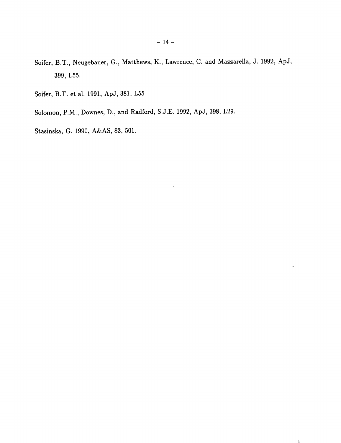- Soifer, B.T., Neugebauer,G., Matthews, K., **Lawrence,** C. and Mazzarella, J. 1992, ApJ, **399,** L55.
- Soifer, B.T. et al. 1991, ApJ, 381, L55
- Solomon, P.M., Downes, D., and Radford, S.J.E. 1992, ApJ, 398, L29.
- Stasinska, G. 1990, A&AS, 83, 501.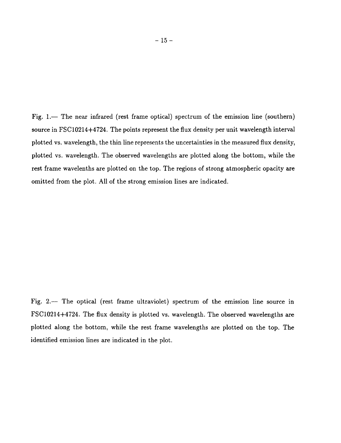Fig. 1.— The near infrared (rest frame optical) spectrum of the emission line (southern) source in  $FSC10214+4724$ . The points represent the flux density per unit wavelength interval plotted vs. wavelength, the thin line represents the uncertainties in the measured flux density, plotted vs. wavelength. The observed wavelengths are plotted along the bottom, while the rest frame wavelenths are plotted on the top. The regions of strong atmospheric opacity are omitted from the plot. All of the strong emission lines are indicated.

Fig. 2.-- The optical (rest frame ultraviolet) spectrum of the emission line source in FSC10214+4724. The flux density is plotted vs. wavelength. The observed wavelengths are plotted along the bottom, while the rest frame wavelengths are plotted on the top. The identified emission lines are indicated in the plot.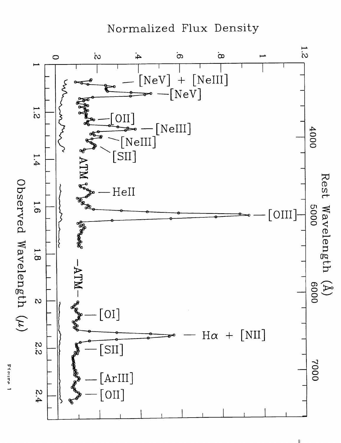Normalized Flux Density



**Figure** 

 $\mathbf{H}$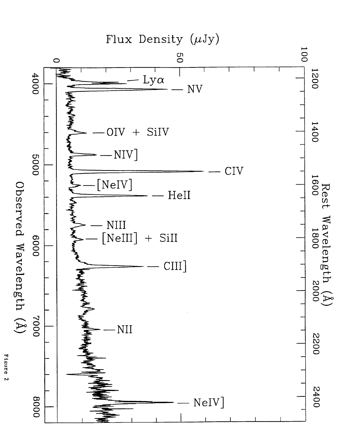